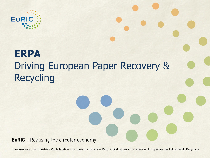

# **ERPA** Driving European Paper Recovery & Recycling

**EuRIC** - Realising the circular economy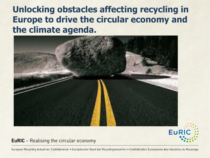## **Unlocking obstacles affecting recycling in Europe to drive the circular economy and the climate agenda.**





#### **EuRIC** - Realising the circular economy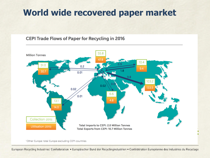## **World wide recovered paper market**

#### **CEPI Trade Flows of Paper for Recycling in 2016**

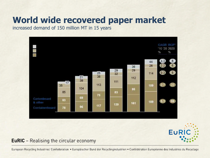## **World wide recovered paper market**

increased demand of 150 million MT in 15 years





**EuRIC** - Realising the circular economy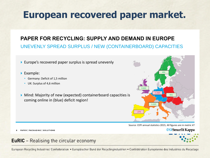# **European recovered paper market.**

### **PAPER FOR RECYCLING: SUPPLY AND DEMAND IN EUROPE**

#### UNEVENLY SPREAD SURPLUS / NEW (CONTAINERBOARD) CAPACITIES

- Europe's recovered paper surplus is spread unevenly
- Example:

**4**

- Germany: Deficit of 1,5 million
- UK: Surplus of 4,6 million

PAPER | PACKAGING | SOLUTIONS

Mind: Majority of new (expected) containerboard capacities is coming online in (blue) deficit region!



Source: CEPI annual statistics 2015; All figures are in metric kT





#### **EuRIC** - Realising the circular economy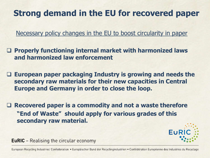## **Strong demand in the EU for recovered paper**

Necessary policy changes in the EU to boost circularity in paper

❑ **Properly functioning internal market with harmonized laws and harmonized law enforcement**

❑ **European paper packaging Industry is growing and needs the secondary raw materials for their new capacities in Central Europe and Germany in order to close the loop.**

❑ **Recovered paper is a commodity and not a waste therefore "End of Waste" should apply for various grades of this secondary raw material.**



**EuRIC** – Realising the circular economy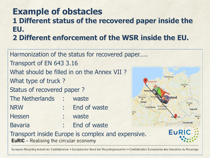### **Example of obstacles 1 Different status of the recovered paper inside the EU. 2 Different enforcement of the WSR inside the EU.**

Harmonization of the status for recovered paper….. Transport of EN 643 3.16 What should be filled in on the Annex VII ? Hamburg What type of truck ? **Berlijn** Status of recovered paper ? The Netherlands : waste **Brussel België** Praag NRW : End of waste Luxemburg Frank am Ma **Tsjechië** Hessen : waste Bavaria : End of waste EUR Transport inside Europe is complex and expensive.**EuRIC** - Realising the circular economy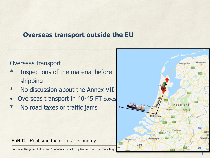### **Overseas transport outside the EU**

### Overseas transport :

- \* Inspections of the material before shipping
- \* No discussion about the Annex VII
- Overseas transport in 40-45 FT boxes
- \* No road taxes or traffic jams

**EuRIC** - Realising the circular economy

European Recycling Industries' Confederation · Europäischer Bund der Recyclingin

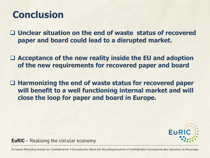# **Conclusion**

❑ **Unclear situation on the end of waste status of recovered paper and board could lead to a disrupted market.** 

❑ **Acceptance of the new reality inside the EU and adoption of the new requirements for recovered paper and board**

❑ **Harmonizing the end of waste status for recovered paper will benefit to a well functioning internal market and will close the loop for paper and board in Europe.**



**EuRIC** – Realising the circular economy